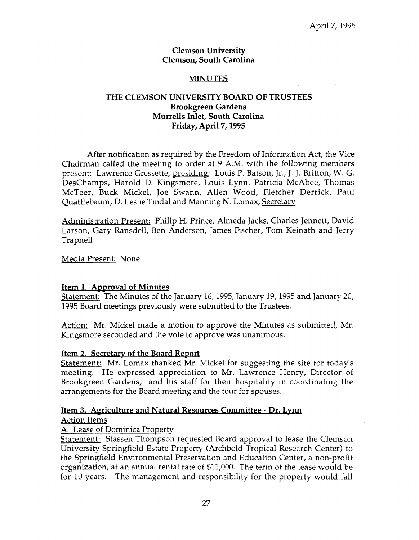#### **Clemson University Clemson, South Carolina**

### **MINUTES**

### **THE CLEMSON UNIVERSITY BOARD OF TRUSTEES Brookgreen Gardens Murrells Inlet, South Carolina Friday, April 7,1995**

After notification as required by the Freedom of Information Act, the Vice Chairman called the meeting to order at 9 A.M. with the following members present: Lawrence Gressette, presiding; Louis P. Batson, Jr., J. J. Britton, W. G. DesChamps, Harold D. Kingsmore, Louis Lynn, Patricia McAbee, Thomas McTeer, Buck Mickel, Joe Swann, Allen Wood, Fletcher Derrick, Paul Quattlebaum, D. Leslie Tindal and Manning N. Lomax, Secretary

Administration Present: Philip H. Prince, Almeda Jacks, Charles Jennett, David Larson, Gary Ransdell, Ben Anderson, James Fischer, Tom Keinath and Jerry Trapnell

Media Present: None

### **Item 1. Approval of Minute3**

Statement: The Minutes of the January 16,1995, January 19,1995 and January 20, 1995 Board meetings previously were submitted to the Trustees.

Action: Mr. Mickel made a motion to approve the Minutes as submitted, Mr. Kingsmore seconded and the vote to approve was unanimous.

### **Item 2. Secretary of the Board Report**

Statement: Mr. Lomax thanked Mr. Mickel for suggesting the site for today's meeting. He expressed appreciation to Mr. Lawrence Henry, Director of Brookgreen Gardens, and his staff for their hospitality in coordinating the arrangements for the Board meeting and the tour for spouses.

# **Item 3. Aericulture and Natural Resources Committee** - **Dr. Lynn**

Action Items

# **A.** Lease of Dominica Property

Statement: Stassen Thompson requested Board approval to lease the Clemson University Springfield Estate Property (Archbold Tropical Research Center) to the Springfield Environmental Preservation and Education Center, a non-profit organization, at an annual rentai rate of \$11,000. The term of the lease would be for 10 years. The management and responsibility for the property would fall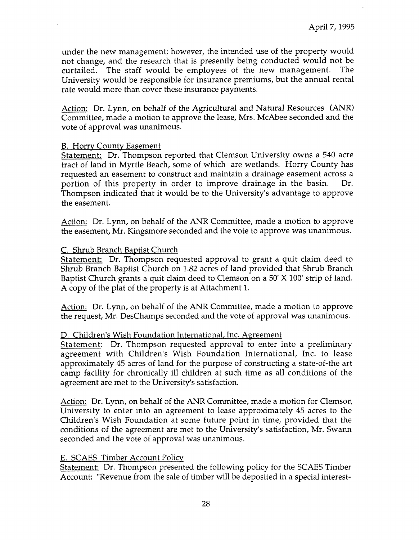under the new management; however, the intended use of the property would not change, and the research that is presently being conducted would not be curtailed. The staff would be employees of the new management. The University would be responsible for insurance premiums, but the annual rental rate would more than cover these insurance payments.

Action: Dr. Lynn, on behalf of the Agricultural and Natural Resources (ANR) Committee, made a motion to approve the lease, Mrs. McAbee seconded and the vote of approval was unanimous.

### B. Horrv County Easement

Statement: Dr, Thompson reported that Clemson University owns a 540 acre tract of land in Myrtle Beach, some of which are wetlands. Horry County has requested an easement to construct and maintain a drainage easement across a portion of this property in order to improve drainage in the basin. Dr. Thompson indicated that it would be to the University's advantage to approve the easement.

Action: Dr. Lynn, on behalf of the ANR Committee, made a motion to approve the easement, Mr. Kingsmore seconded and the vote to approve was unanimous.

#### C. Shrub Branch Baptist Church

Statement: Dr. Thompson requested approval to grant a quit claim deed to Shrub Branch Baptist Church on 1.82 acres of land provided that Shrub Branch Baptist Church grants **a** quit claim deed to Clemson on a 50' X 100' strip of land. A copy of the plat of the property is at Attachment 1.

Action: Dr. Lynn, on behalf of the ANR Committee, made a motion to approve the request, Mr. DesChamps seconded and the vote of approval was unanimous.

#### D. Children's Wish Foundation International, Inc. Agreement

Statement: Dr. Thompson requested approval to enter into a preliminary agreement with Children's Wish Foundation International, Inc. to lease approximately 45 acres of land for the purpose of constructing a state-of-the art camp facility for chronically ill children at such time as all conditions of the agreement are met to the University's satisfaction.

Action: Dr. Lynn, on behalf of the ANR Committee, made a motion for Clemson University to enter into an agreement to lease approximately 45 acres to the Children's Wish Foundation at some future point in time, provided that the conditions of the agreement are met to the University's satisfaction, Mr. Swann seconded and the vote of approval was unanimous.

#### E. SCAES Timber Account Policv

Statement: Dr. Thompson presented the following policy for the SCAES Timber Account: "Revenue from the sale of timber will be deposited in a special interest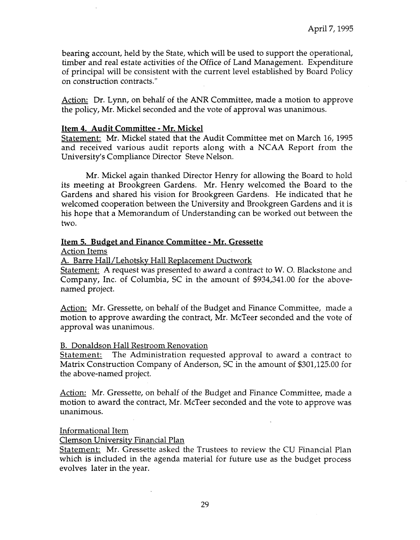bearing account, held by the State, which will be used to support the operational, timber and real estate activities of the Office of Land Management. Expenditure of principal will be consistent with the current level established by Board Policy on construction contracts."

Action: Dr, Lynn, on behalf of the ANR Committee, made a motion to approve the policy, Mr. Mickel seconded and the vote of approval was unanimous.

### **Item 4. Audit Committee** - **Mr. Mickel**

Statement: Mr. Mickel stated that the Audit Committee met on March 16, 1995 and received various audit reports along with a NCAA Report from the University's Compliance Director Steve Nelson.

Mr. Mickel again thanked Director Henry for allowing the Board to hold its meeting at Brookgreen Gardens. Mr. Henry welcomed the Board to the Gardens and shared his vision for Brookgreen Gardens. He indicated that he welcomed cooperation between the University and Brookgreen Gardens and it is his hope that a Memorandum of Understanding can be worked out between the **two.** 

### **Item 5. Budget and Finance Committee** - **Mr. Gressette**

Action Items

A. Barre Hall/Lehotsky Hall Replacement Ductwork

Statement: A request was presented to award a contract to W. 0. Blackstone and Company, Inc. of Columbia, SC in the amount of [\\$934,341.00](https://934,341.00) for the abovenamed project.

Action: Mr. Gressette, on behalf of the Budget and Finance Committee, made a motion to approve awarding the contract, Mr. McTeer seconded and the vote of approval was unanimous.

### B. Donaldson Hall Restroom Renovation

Statement: The Administration requested approval to award a contract to Matrix Construction Company of Anderson, SC in the amount of [\\$301,125.00](https://301,125.00) for the above-named project.

Action: Mr. Gressette, on behalf of the Budget and Finance Committee, made a motion to award the contract, Mr. McTeer seconded and the vote to approve was unanimous.

### Informational Item

Clemson University Financial Plan

Statement: Mr. Gressette asked the Trustees to review the CU Financial Plan which is included in the agenda material for future use as the budget process evolves later in the year.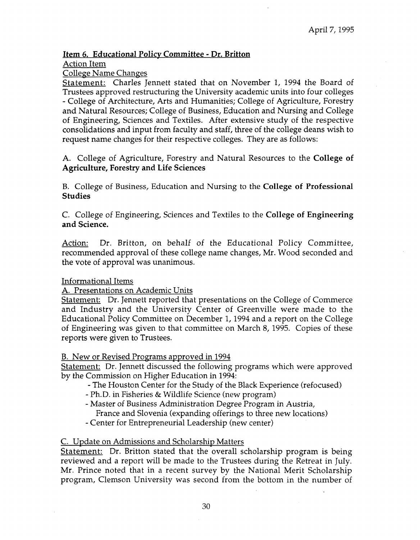# **Item** *6.* **Educational Policy Committee** - **Dr. Britton**

Action Item

College Name Changes

Statement: Charles Jennett stated that on November 1, 1994 the Board of Trustees approved restructuring the University academic units into four colleges - College of Architecture, Arts and Humanities; College of Agriculture, Forestry and Natural Resources; College of Business, Education and Nursing and College of Engineering, Sciences and Textiles. After extensive study of the respective consolidations and input from faculty and staff, three of the college deans wish to request name changes for their respective colleges. They are as follows:

A. College of Agriculture, Forestry and Natural Resources to the **College of Agriculture, Forestry and Life Sciences** 

B. College of Business, Education and Nursing to the **College of Professional Studies** 

C. College of Engineering, Sciences and Textiles to the **College of Engineering and Science.** 

Action: Dr. Britton, on behalf of the Educational Policy Committee, recommended approval of these college name changes, Mr. Wood seconded and the vote of approval was unanimous.

Informational Items

A. Presentations on Academic Units

Statement: Dr. Jennett reported that presentations on the College of Commerce and Industry and the University Center of Greenville were made to the Educational Policy Committee on December 1,1994 and a report on the College of Engineering was given to that committee on March 8, 1995. Copies of these reports were given to Trustees.

B. New or Revised Programs approved in 1994

Statement: Dr. Jennett discussed the following programs which were approved by the Commission on Higher Education in 1994:

- The Houston Center for the Study of the Black Experience (refocused)
- Ph.D. in Fisheries & Wildlife Science (new program)
- Master of Business Administration Degree Program in Austria,
	- France and Slovenia (expanding offerings to three new locations)
- Center for Entrepreneurial Leadership (new center)

### C. Update on Admissions and Scholarship Matters

Statement: Dr. Britton stated that the overall scholarship program is being reviewed and a report will be made to the Trustees during the Retreat in July. Mr. Prince noted that in a recent survey by the National Merit Scholarship program, Clemson University was second from the bottom in the number of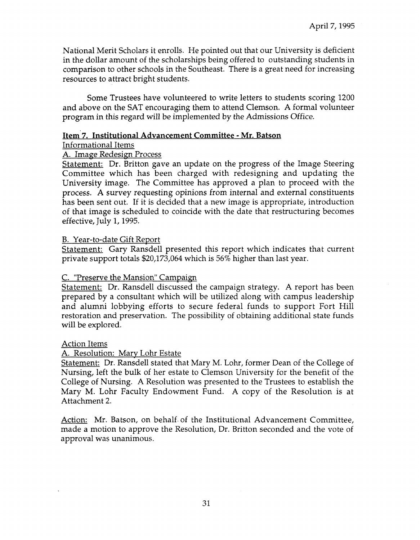National Merit Scholars it enrolls. He pointed out that our University is deficient in the dollar amount of the scholarships being offered to outstanding students in comparison to other schools in the Southeast. There is a great need for increasing resources to attract bright students.

Some Trustees have volunteered to write letters to students scoring 1200 and above on the SAT encouraging them to attend Clemson. A formal volunteer program in this regard will be implemented by the Admissions Office.

### **Item'7. Institutional Advancement Committee** - **Mr. Batson**

### Informational Items

# A. Image Redesign Process

Statement: Dr. Britton gave an update on the progress of the Image Steering Committee which has been charged with redesigning and updating the University image. The Committee has approved a plan to proceed with the process. A survey requesting opinions from internal and external constituents has been sent out. If it is decided that a new image is appropriate, introduction of that image is scheduled to coincide with the date that restructuring becomes effective, July 1,1995.

# B. Year-to-date Gift Report

Statement: Gary Ransdell presented this report which indicates that current private support totals \$20,173,064 which is *56%* higher than last year.

# C. "Preserve the Mansion" Campaign

Statement: Dr. Ransdell discussed the campaign strategy. **A** report has been prepared by a consultant which will be utilized along with campus leadership and alumni lobbying efforts to secure federal funds to support Fort Hill restoration and preservation. The possibility of obtaining additional state funds will be explored.

# Action Items

# A. Resolution: Marv Lohr Estate

Statement: Dr. Ransdell stated that Mary M. Lohr, former Dean of the College of Nursing, left the bulk of her estate to Clemson University for the benefit of the College of Nursing. A Resolution was presented to the Trustees to establish the Mary M. Lohr Faculty Endowment Fund. A copy of the Resolution is at Attachment **2.** 

Action: Mr. Batson, on behalf. of the Institutional Advancement Committee, made a motion to approve the Resolution, Dr. Britton seconded and the vote of approval was unanimous.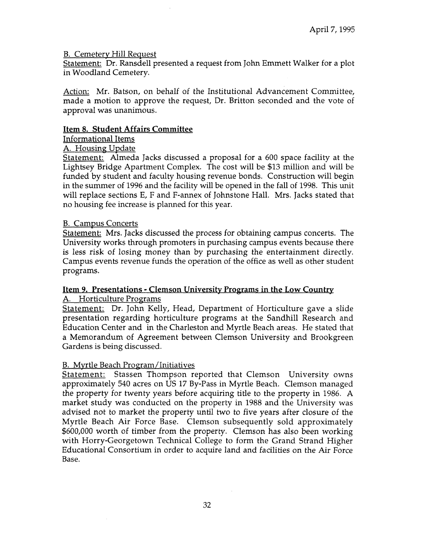### B. Cemeterv Hill Reauest

Statement: Dr. Ransdell presented a request from John Emmett Walker for a plot in Woodland Cemetery.

Action: Mr. Batson, on behalf of the Institutional Advancement Committee, made a motion to approve the request, Dr. Britton seconded and the vote of approval was unanimous.

### **Item 8, Student Affairs Committee**

# Informational Items

### A. Housing Update

Statement: Almeda Jacks discussed a proposal for a 600 space facility at the Lightsey Bridge Apartment Complex. The cost will be \$13 million and will be funded by student and faculty housing revenue bonds. Construction will begin in the summer of 1996 and the facility will be opened in the fall of 1998. This unit will replace sections E, F and F-annex of Johnstone Hall. Mrs. Jacks stated that no housing fee increase is planned for this year.

# B. Campus Concerts

Statement: Mrs. Jacks discussed the process for obtaining campus concerts. The University works through promoters in purchasing campus events because there is less risk of losing money than by purchasing the entertainment directly. Campus events revenue funds the operation of the office as well as other student programs.

# **Item 9. Presentations** - **Clemson University Proprams in the Low Country**

### A. Horticulture Programs

Statement: Dr. John Kelly, Head, Department of Horticulture gave a slide presentation regarding horticulture programs at the Sandhill Research and Education Center and in the Charleston and Myrtle Beach areas. He stated that a Memorandum of Agreement be tween Clemson University and Brookgreen Gardens is being discussed.

### B. Myrtle Beach Program/Initiatives

Statement: Stassen Thompson reported that Clemson University owns approximately 540 acres on US 17 By-Pass in Myrtle Beach. Clemson managed the property for twenty years before acquiring title to the property in 1986. A market study was conducted on the property in 1988 and the University was advised not to market the property until two to five years after closure of the Myrtle Beach Air Force Base. Clemson subsequently sold approximately \$600,000 worth of timber from the property. Clemson has also been working with Horry-Georgetown Technical College to form the Grand Strand Higher Educational Consortium in order to acquire land and facilities on the Air Force Base.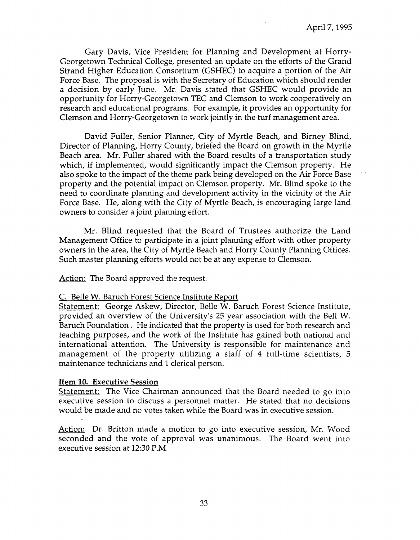Gary Davis, Vice President for Planning and Development at Horry-Georgetown Technical College, presented an update on the efforts of the Grand Strand Higher Education Consortium (GSHEC) to acquire a portion of the Air Force Base. The proposal is with the Secretary of Education which should render a decision by early June. Mr. Davis stated that GSHEC would provide an opportunity for Horry-Georgetown TEC and Clemson to work cooperatively on research and educational programs. For example, it provides an opportunity for Clemson and Horry-Georgetown to work jointly in the turf management area.

David Fuller, Senior Planner, City of Myrtle Beach, and Birney Blind, Director of Planning, Horry County, briefed the Board on growth in the Myrtle Beach area. Mr. Fuller shared with the Board results of a transportation study which, if implemented, would significantly impact the Clemson property. He also spoke to the impact of the theme park being developed on the Air Force Base property and the potential impact on Clemson property. Mr. Blind spoke to the need to coordinate planning and development activity in the vicinity of the Air Force Base. He, along with the City of Myrtle Beach, is encouraging large land owners to consider a joint planning effort.

Mr. Blind requested that the Board of Trustees authorize the Land Management Office to participate in a joint planning effort with other property owners in the area, the City of Myrtle Beach and Horry County Planning Offices. Such master planning efforts would not be at any expense to Clemson.

Action: The Board approved the request.

#### C. Belle W. Baruch Forest Science Institute Report

Statement: George Askew, Director, Belle W. Baruch Forest Science Institute, provided an overview of the University's 25 year association with the Bell W. Baruch Foundation. He indicated that the property is used for both research and teaching purposes, and the work of the Institute has gained both national and international attention. The University is responsible for maintenance and management of the property utilizing a staff of 4 full-time scientists, 5 maintenance technicians and 1 clerical person.

#### **Item 10. Executive Session**

Statement: The Vice Chairman announced that the Board needed to go into executive session to discuss a personnel matter. He stated that no decisions would be made and no votes taken while the Board was in executive session.

Action: Dr. Britton made a motion to go into executive session, Mr. Wood seconded and the vote of approval was unanimous. The Board went into executive session at 12:30 P.M.